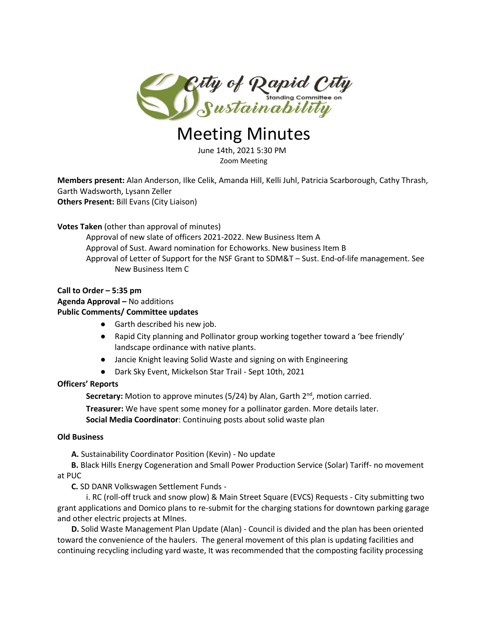

# Meeting Minutes

 June 14th, 2021 5:30 PM Zoom Meeting

**Members present:** Alan Anderson, Ilke Celik, Amanda Hill, Kelli Juhl, Patricia Scarborough, Cathy Thrash, Garth Wadsworth, Lysann Zeller **Others Present:** Bill Evans (City Liaison)

## **Votes Taken** (other than approval of minutes)

Approval of new slate of officers 2021-2022. New Business Item A Approval of Sust. Award nomination for Echoworks. New business Item B Approval of Letter of Support for the NSF Grant to SDM&T – Sust. End-of-life management. See New Business Item C

## **Call to Order – 5:35 pm Agenda Approval –** No additions **Public Comments/ Committee updates**

- Garth described his new job.
- Rapid City planning and Pollinator group working together toward a 'bee friendly' landscape ordinance with native plants.
- Jancie Knight leaving Solid Waste and signing on with Engineering
- Dark Sky Event, Mickelson Star Trail Sept 10th, 2021

## **Officers' Reports**

Secretary: Motion to approve minutes (5/24) by Alan, Garth 2<sup>nd</sup>, motion carried.

**Treasurer:** We have spent some money for a pollinator garden. More details later. **Social Media Coordinator**: Continuing posts about solid waste plan

## **Old Business**

 **A.** Sustainability Coordinator Position (Kevin) - No update

 **B.** Black Hills Energy Cogeneration and Small Power Production Service (Solar) Tariff- no movement at PUC

**C.** SD DANR Volkswagen Settlement Funds -

i. RC (roll-off truck and snow plow) & Main Street Square (EVCS) Requests - City submitting two grant applications and Domico plans to re-submit for the charging stations for downtown parking garage and other electric projects at MInes.

 **D.** Solid Waste Management Plan Update (Alan) - Council is divided and the plan has been oriented toward the convenience of the haulers. The general movement of this plan is updating facilities and continuing recycling including yard waste, It was recommended that the composting facility processing